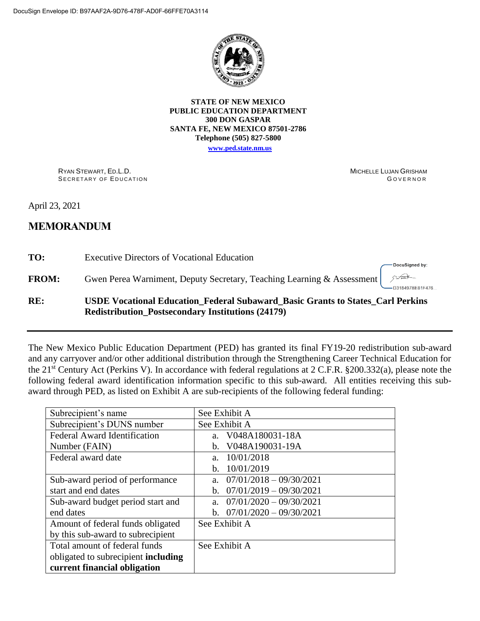

**STATE OF NEW MEXICO PUBLIC EDUCATION DEPARTMENT 300 DON GASPAR SANTA FE, NEW MEXICO 87501-2786 Telephone (505) 827-5800**

**[www.ped.state.nm.us](http://webnew.ped.state.nm.us/)**

RYAN STEWART, ED.L.D. SECRETARY OF EDUCATION MICHELLE LUJAN GRISHAM **GOVERNOR** 

April 23, 2021

# **MEMORANDUM**

**TO:** Executive Directors of Vocational Education

**FROM:** Gwen Perea Warniment, Deputy Secretary, Teaching Learning & Assessment

DocuSigned by:  $512 - 12$ D318497BE81F476...

## **RE: USDE Vocational Education\_Federal Subaward\_Basic Grants to States\_Carl Perkins Redistribution\_Postsecondary Institutions (24179)**

The New Mexico Public Education Department (PED) has granted its final FY19-20 redistribution sub-award and any carryover and/or other additional distribution through the Strengthening Career Technical Education for the 21st Century Act (Perkins V). In accordance with federal regulations at 2 C.F.R. §200.332(a), please note the following federal award identification information specific to this sub-award. All entities receiving this subaward through PED, as listed on Exhibit A are sub-recipients of the following federal funding:

| Subrecipient's name                        | See Exhibit A                               |  |
|--------------------------------------------|---------------------------------------------|--|
| Subrecipient's DUNS number                 | See Exhibit A                               |  |
| <b>Federal Award Identification</b>        | a. V048A180031-18A                          |  |
| Number (FAIN)                              | V048A190031-19A<br>$\mathbf{b}$ .           |  |
| Federal award date                         | 10/01/2018<br>a.                            |  |
|                                            | 10/01/2019<br>b.                            |  |
| Sub-award period of performance            | $07/01/2018 - 09/30/2021$<br>$a_{-}$        |  |
| start and end dates                        | $07/01/2019 - 09/30/2021$<br>$\mathbf{b}$ . |  |
| Sub-award budget period start and          | $07/01/2020 - 09/30/2021$<br>$a_{-}$        |  |
| end dates                                  | b. $07/01/2020 - 09/30/2021$                |  |
| Amount of federal funds obligated          | See Exhibit A                               |  |
| by this sub-award to subrecipient          |                                             |  |
| Total amount of federal funds              | See Exhibit A                               |  |
| obligated to subrecipient <b>including</b> |                                             |  |
| current financial obligation               |                                             |  |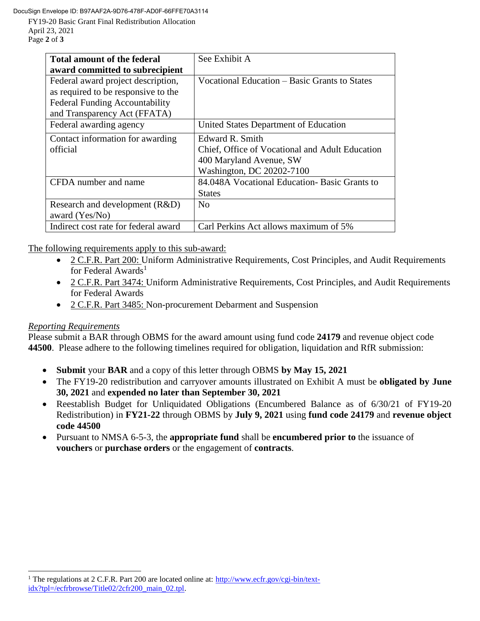DocuSign Envelope ID: B97AAF2A-9D76-478F-AD0F-66FFE70A3114

FY19-20 Basic Grant Final Redistribution Allocation April 23, 2021 Page **2** of **3**

| <b>Total amount of the federal</b>    | See Exhibit A                                   |
|---------------------------------------|-------------------------------------------------|
| award committed to subrecipient       |                                                 |
| Federal award project description,    | Vocational Education – Basic Grants to States   |
| as required to be responsive to the   |                                                 |
| <b>Federal Funding Accountability</b> |                                                 |
| and Transparency Act (FFATA)          |                                                 |
| Federal awarding agency               | United States Department of Education           |
| Contact information for awarding      | Edward R. Smith                                 |
| official                              | Chief, Office of Vocational and Adult Education |
|                                       | 400 Maryland Avenue, SW                         |
|                                       | Washington, DC 20202-7100                       |
| CFDA number and name                  | 84.048A Vocational Education-Basic Grants to    |
|                                       | <b>States</b>                                   |
| Research and development (R&D)        | $\overline{N}$                                  |
| award (Yes/No)                        |                                                 |
| Indirect cost rate for federal award  | Carl Perkins Act allows maximum of 5%           |

The following requirements apply to this sub-award:

- 2 C.F.R. Part 200: Uniform Administrative Requirements, Cost Principles, and Audit Requirements for Federal Awards<sup>1</sup>
- 2 C.F.R. Part 3474: Uniform Administrative Requirements, Cost Principles, and Audit Requirements for Federal Awards
- 2 C.F.R. Part 3485: Non-procurement Debarment and Suspension

### *Reporting Requirements*

 $\overline{a}$ 

Please submit a BAR through OBMS for the award amount using fund code **24179** and revenue object code **44500**. Please adhere to the following timelines required for obligation, liquidation and RfR submission:

- **Submit** your **BAR** and a copy of this letter through OBMS **by May 15, 2021**
- The FY19-20 redistribution and carryover amounts illustrated on Exhibit A must be **obligated by June 30, 2021** and **expended no later than September 30, 2021**
- Reestablish Budget for Unliquidated Obligations (Encumbered Balance as of 6/30/21 of FY19-20 Redistribution) in **FY21-22** through OBMS by **July 9, 2021** using **fund code 24179** and **revenue object code 44500**
- Pursuant to NMSA 6-5-3, the **appropriate fund** shall be **encumbered prior to** the issuance of **vouchers** or **purchase orders** or the engagement of **contracts**.

<sup>&</sup>lt;sup>1</sup> The regulations at 2 C.F.R. Part 200 are located online at: [http://www.ecfr.gov/cgi-bin/text](http://www.ecfr.gov/cgi-bin/text-idx?tpl=/ecfrbrowse/Title02/2cfr200_main_02.tpl)[idx?tpl=/ecfrbrowse/Title02/2cfr200\\_main\\_02.tpl.](http://www.ecfr.gov/cgi-bin/text-idx?tpl=/ecfrbrowse/Title02/2cfr200_main_02.tpl)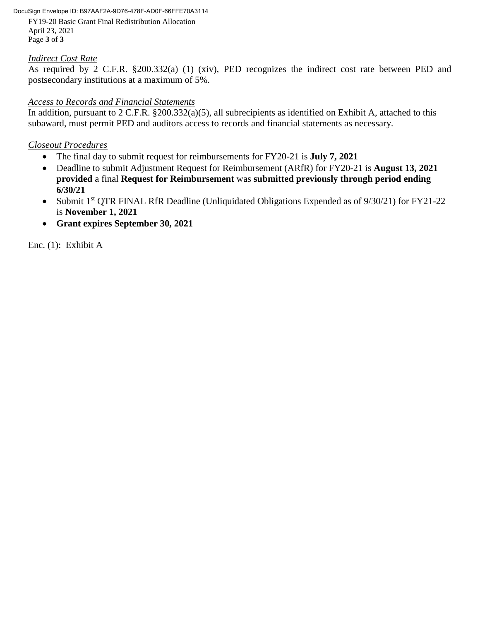#### DocuSign Envelope ID: B97AAF2A-9D76-478F-AD0F-66FFE70A3114

FY19-20 Basic Grant Final Redistribution Allocation April 23, 2021 Page **3** of **3**

### *Indirect Cost Rate*

As required by 2 C.F.R. §200.332(a) (1) (xiv), PED recognizes the indirect cost rate between PED and postsecondary institutions at a maximum of 5%.

### *Access to Records and Financial Statements*

In addition, pursuant to 2 C.F.R. §200.332(a)(5), all subrecipients as identified on Exhibit A, attached to this subaward, must permit PED and auditors access to records and financial statements as necessary.

### *Closeout Procedures*

- The final day to submit request for reimbursements for FY20-21 is **July 7, 2021**
- Deadline to submit Adjustment Request for Reimbursement (ARfR) for FY20-21 is **August 13, 2021 provided** a final **Request for Reimbursement** was **submitted previously through period ending 6/30/21**
- Submit 1<sup>st</sup> QTR FINAL RfR Deadline (Unliquidated Obligations Expended as of 9/30/21) for FY21-22 is **November 1, 2021**
- **Grant expires September 30, 2021**

Enc. (1): Exhibit A